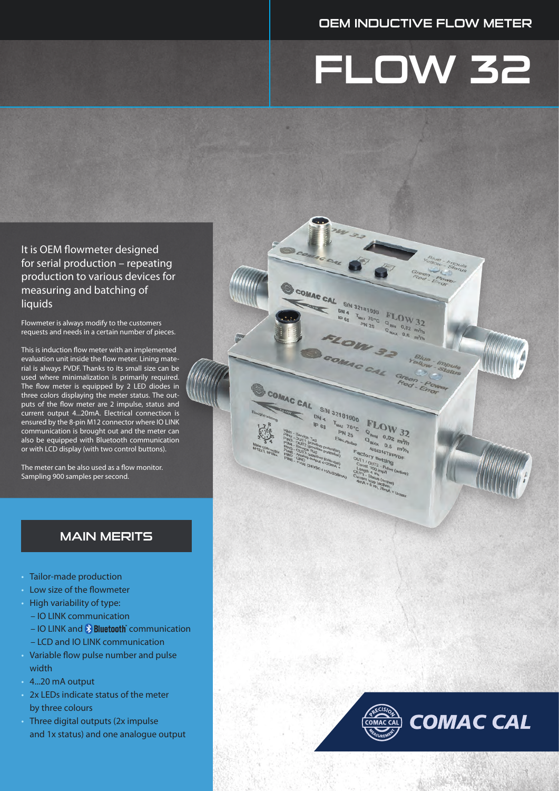### OEM INDUCTIVE FLOW METER

# FLOW 32

COMAC CAL

COMAC CAL S/N 32181000

Ga

T<sub>MAX</sub> 70°C

**PN 25** 

S/N 32181000  $DN_4$ 

 $\mathbf{z}$ 

**FLOW 32** 

 $0,02$ 

 $FLOW$ <sub>22</sub>

 $\frac{100 \text{ W}}{100}$  32  $\frac{0.5}{167}$  m<sup>3</sup>/h 16Ti/p

It is OEM flowmeter designed for serial production – repeating production to various devices for measuring and batching of liquids

Flowmeter is always modify to the customers requests and needs in a certain number of pieces.

This is induction flow meter with an implemented evaluation unit inside the flow meter. Lining material is always PVDF. Thanks to its small size can be used where minimalization is primarily required. The flow meter is equipped by 2 LED diodes in three colors displaying the meter status. The outputs of the flow meter are 2 impulse, status and current output 4...20mA. Electrical connection is ensured by the 8-pin M12 connector where IO LINK communication is brought out and the meter can also be equipped with Bluetooth communication or with LCD display (with two control buttons).

The meter can be also used as a flow monitor. Sampling 900 samples per second.

### MAIN MERITS

- Tailor-made production
- Low size of the flowmeter
- High variability of type:
- IO LINK communication
- $-$  IO LINK and  $\frac{\mathbf{\hat{x}}}{}$  **Bluetooth** communication
- LCD and IO LINK communication
- Variable flow pulse number and pulse width
- 4...20 mA output
- 2x LEDs indicate status of the meter by three colours
- Three digital outputs (2x impulse and 1x status) and one analogue output

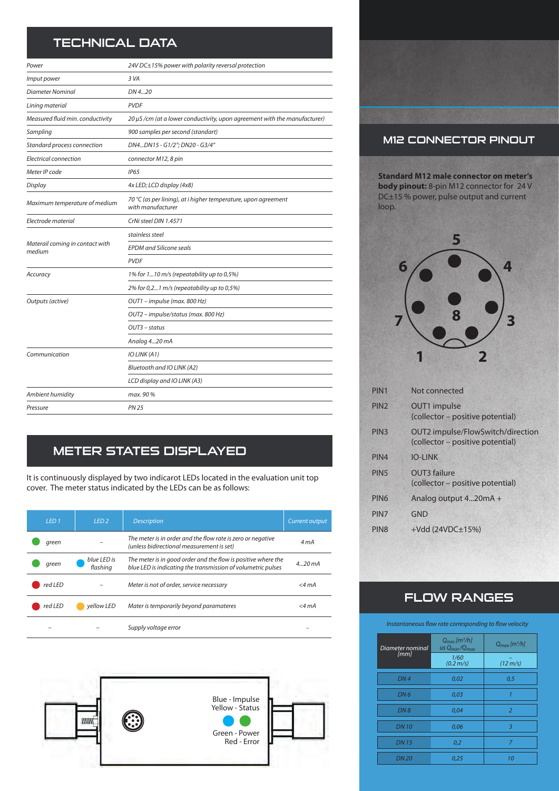## TECHNICAL DATA

| Power                                     | 24V DC±15% power with polarity reversal protection                                  |  |  |  |
|-------------------------------------------|-------------------------------------------------------------------------------------|--|--|--|
| Imput power                               | 3 VA                                                                                |  |  |  |
| Diameter Nominal                          | DN 420                                                                              |  |  |  |
| Lining material                           | <b>PVDF</b>                                                                         |  |  |  |
| Measured fluid min. conductivity          | 20 µS/cm (at a lower conductivity, upon agreement with the manufacturer)            |  |  |  |
| Sampling                                  | 900 samples per second (standart)                                                   |  |  |  |
| Standard process connection               | DN4DN15 - G1/2"; DN20 - G3/4"                                                       |  |  |  |
| Electrical connection                     | connector M12, 8 pin                                                                |  |  |  |
| Meter IP code                             | <b>IP65</b>                                                                         |  |  |  |
| Display                                   | 4x LED; LCD display (4x8)                                                           |  |  |  |
| Maximum temperature of medium             | 70 °C (as per lining), at i higher temperature, upon agreement<br>with manufacturer |  |  |  |
| Electrode material                        | CrNi steel DIN 1.4571                                                               |  |  |  |
|                                           | stainless steel                                                                     |  |  |  |
| Materail coming in contact with<br>medium | <b>EPDM</b> and Silicone seals                                                      |  |  |  |
|                                           | <b>PVDF</b>                                                                         |  |  |  |
| Accuracy                                  | 1% for 110 m/s (repeatability up to 0,5%)                                           |  |  |  |
|                                           | 2% for 0,21 m/s (repeatability up to 0,5%)                                          |  |  |  |
| Outputs (active)                          | OUT1 - impulse (max. 800 Hz)                                                        |  |  |  |
|                                           | OUT2 - impulse/status (max. 800 Hz)                                                 |  |  |  |
|                                           | OUT3 – status                                                                       |  |  |  |
|                                           | Analog 420 mA                                                                       |  |  |  |
| Communication                             | IO LINK (A1)                                                                        |  |  |  |
|                                           | Bluetooth and IO LINK (A2)                                                          |  |  |  |
|                                           | LCD display and IO LINK (A3)                                                        |  |  |  |
| Ambient humidity                          | max. 90 %                                                                           |  |  |  |
| Pressure                                  | <b>PN 25</b>                                                                        |  |  |  |

## METER STATES DISPLAYED

It is continuously displayed by two indicarot LEDs located in the evaluation unit top cover. The meter status indicated by the LEDs can be as follows:

| LED <sub>1</sub> | LED <sub>2</sub>        | <b>Description</b>                                                                                                            | Current output    |
|------------------|-------------------------|-------------------------------------------------------------------------------------------------------------------------------|-------------------|
| green            |                         | The meter is in order and the flow rate is zero or negative<br>(unless bidirectional measurement is set)                      | 4 m A             |
| areen            | blue LED is<br>flashing | The meter is in good order and the flow is positive where the<br>blue LED is indicating the transmission of volumetric pulses | $4.20 \text{ mA}$ |
| red LED          |                         | Meter is not of order, service necessary                                                                                      | $<$ 4 mA          |
| red LED          | vellow LED              | Mater is temporarily beyond paramateres                                                                                       | $<$ 4 mA          |
|                  |                         | Supply voltage error                                                                                                          |                   |



### M12 CONNECTOR PINOUT

**Standard M12 male connector on meter's body pinout:** 8-pin M12 connector for 24 V DC±15 % power, pulse output and current loop.



| PIN <sub>1</sub> | Not connected                                                         |
|------------------|-----------------------------------------------------------------------|
| PIN <sub>2</sub> | OUT1 impulse<br>(collector – positive potential)                      |
| PIN <sub>3</sub> | OUT2 impulse/FlowSwitch/direction<br>(collector – positive potential) |
| PIN4             | <b>IO-LINK</b>                                                        |
| PIN <sub>5</sub> | OUT3 failure<br>(collector – positive potential)                      |
| PIN <sub>6</sub> | Analog output 420mA +                                                 |
| PIN7             | GND                                                                   |
| PIN <sub>8</sub> | $+Vdd$ (24VDC $\pm$ 15%)                                              |
|                  |                                                                       |

## FLOW RANGES

*Instantaneous flow rate corresponding to flow velocity*

| Diameter nominal | $Q_{\text{min}}$ [m <sup>3</sup> /h]<br>us $Q_{min}/Q_{max}$ | $Q_{max}$ [m <sup>3</sup> /h] |  |
|------------------|--------------------------------------------------------------|-------------------------------|--|
| [mm]             | 1/60<br>$(0.2 \, \text{m/s})$                                | $(12 \, \text{m/s})$          |  |
| DN4              | 0,02                                                         | 0,5                           |  |
| DN <sub>6</sub>  | 0,03                                                         | 1                             |  |
| DN8              | 0,04                                                         | $\overline{2}$                |  |
| <b>DN10</b>      | 0,06                                                         | 3                             |  |
| <b>DN15</b>      | 0,2                                                          | 7                             |  |
| <b>DN 20</b>     | 0,25                                                         | 10                            |  |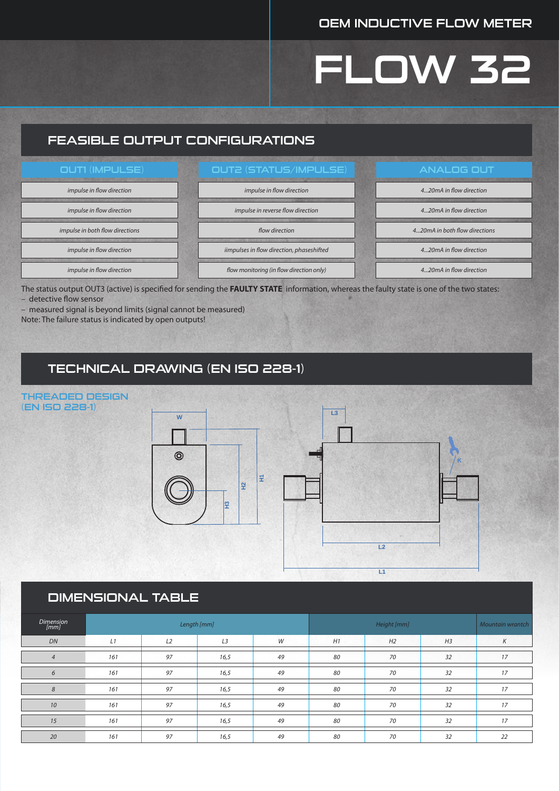### OEM INDUCTIVE FLOW METER

## FLOW 32

### FEASIBLE OUTPUT CONFIGURATIONS



The status output OUT3 (active) is specified for sending the **FAULTY STATE** information, whereas the faulty state is one of the two states: – detective flow sensor

– measured signal is beyond limits (signal cannot be measured)

Note: The failure status is indicated by open outputs!

(EN ISO 228-1)

### TECHNICAL DRAWING (EN ISO 228-1)



### DIMENSIONAL TABLE

| <b>Dimension</b><br>[mm] | Length [mm] |    |                | Height [mm] |    |    | Mountain wrantch |    |
|--------------------------|-------------|----|----------------|-------------|----|----|------------------|----|
| DN                       | L1          | L2 | L <sub>3</sub> | W           | H1 | H2 | H <sub>3</sub>   | К  |
| $\overline{4}$           | 161         | 97 | 16,5           | 49          | 80 | 70 | 32               | 17 |
| 6                        | 161         | 97 | 16,5           | 49          | 80 | 70 | 32               | 17 |
| 8                        | 161         | 97 | 16,5           | 49          | 80 | 70 | 32               | 17 |
| 10                       | 161         | 97 | 16,5           | 49          | 80 | 70 | 32               | 17 |
| 15                       | 161         | 97 | 16,5           | 49          | 80 | 70 | 32               | 17 |
| 20                       | 161         | 97 | 16,5           | 49          | 80 | 70 | 32               | 22 |